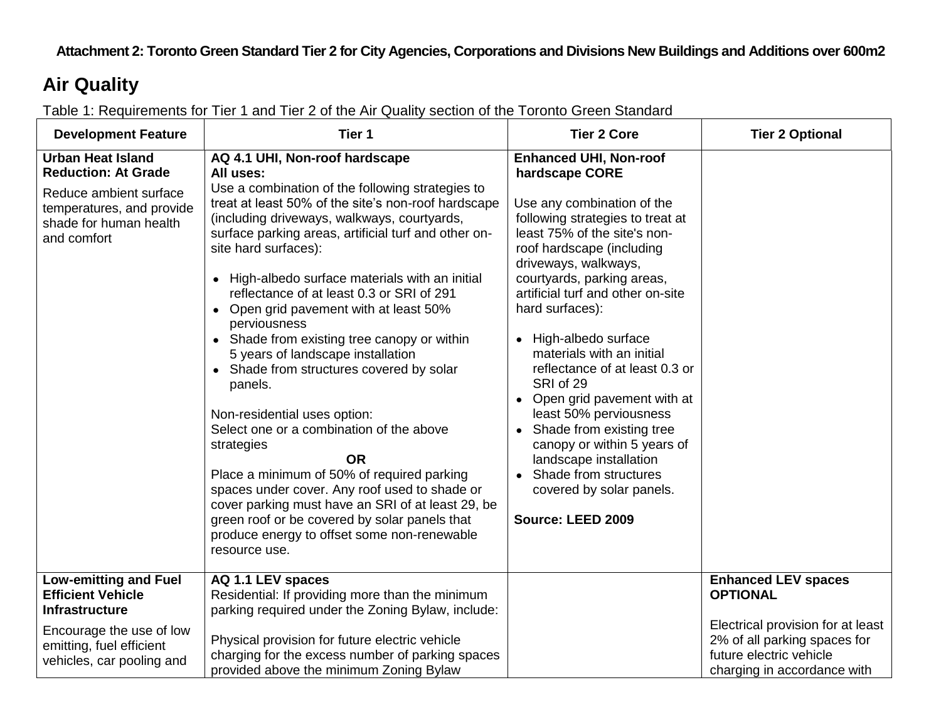#### **Attachment 2: Toronto Green Standard Tier 2 for City Agencies, Corporations and Divisions New Buildings and Additions over 600m2**

#### **Air Quality**

Table 1: Requirements for Tier 1 and Tier 2 of the Air Quality section of the Toronto Green Standard

| <b>Development Feature</b>                                                                                                                                             | Tier 1                                                                                                                                                                                                                                                                                                                                                                                                                                                                                                                                                                                                                                                                                                                                                                                                                                                                                                                                                                                     | <b>Tier 2 Core</b>                                                                                                                                                                                                                                                                                                                                                                                                                                                                                                                                                                                                                        | <b>Tier 2 Optional</b>                                                                                                                                                       |
|------------------------------------------------------------------------------------------------------------------------------------------------------------------------|--------------------------------------------------------------------------------------------------------------------------------------------------------------------------------------------------------------------------------------------------------------------------------------------------------------------------------------------------------------------------------------------------------------------------------------------------------------------------------------------------------------------------------------------------------------------------------------------------------------------------------------------------------------------------------------------------------------------------------------------------------------------------------------------------------------------------------------------------------------------------------------------------------------------------------------------------------------------------------------------|-------------------------------------------------------------------------------------------------------------------------------------------------------------------------------------------------------------------------------------------------------------------------------------------------------------------------------------------------------------------------------------------------------------------------------------------------------------------------------------------------------------------------------------------------------------------------------------------------------------------------------------------|------------------------------------------------------------------------------------------------------------------------------------------------------------------------------|
| <b>Urban Heat Island</b><br><b>Reduction: At Grade</b><br>Reduce ambient surface<br>temperatures, and provide<br>shade for human health<br>and comfort                 | AQ 4.1 UHI, Non-roof hardscape<br>All uses:<br>Use a combination of the following strategies to<br>treat at least 50% of the site's non-roof hardscape<br>(including driveways, walkways, courtyards,<br>surface parking areas, artificial turf and other on-<br>site hard surfaces):<br>High-albedo surface materials with an initial<br>reflectance of at least 0.3 or SRI of 291<br>Open grid pavement with at least 50%<br>$\bullet$<br>perviousness<br>• Shade from existing tree canopy or within<br>5 years of landscape installation<br>Shade from structures covered by solar<br>$\bullet$<br>panels.<br>Non-residential uses option:<br>Select one or a combination of the above<br>strategies<br><b>OR</b><br>Place a minimum of 50% of required parking<br>spaces under cover. Any roof used to shade or<br>cover parking must have an SRI of at least 29, be<br>green roof or be covered by solar panels that<br>produce energy to offset some non-renewable<br>resource use. | <b>Enhanced UHI, Non-roof</b><br>hardscape CORE<br>Use any combination of the<br>following strategies to treat at<br>least 75% of the site's non-<br>roof hardscape (including<br>driveways, walkways,<br>courtyards, parking areas,<br>artificial turf and other on-site<br>hard surfaces):<br>• High-albedo surface<br>materials with an initial<br>reflectance of at least 0.3 or<br>SRI of 29<br>• Open grid pavement with at<br>least 50% perviousness<br>• Shade from existing tree<br>canopy or within 5 years of<br>landscape installation<br>Shade from structures<br>$\bullet$<br>covered by solar panels.<br>Source: LEED 2009 |                                                                                                                                                                              |
| <b>Low-emitting and Fuel</b><br><b>Efficient Vehicle</b><br><b>Infrastructure</b><br>Encourage the use of low<br>emitting, fuel efficient<br>vehicles, car pooling and | AQ 1.1 LEV spaces<br>Residential: If providing more than the minimum<br>parking required under the Zoning Bylaw, include:<br>Physical provision for future electric vehicle<br>charging for the excess number of parking spaces<br>provided above the minimum Zoning Bylaw                                                                                                                                                                                                                                                                                                                                                                                                                                                                                                                                                                                                                                                                                                                 |                                                                                                                                                                                                                                                                                                                                                                                                                                                                                                                                                                                                                                           | <b>Enhanced LEV spaces</b><br><b>OPTIONAL</b><br>Electrical provision for at least<br>2% of all parking spaces for<br>future electric vehicle<br>charging in accordance with |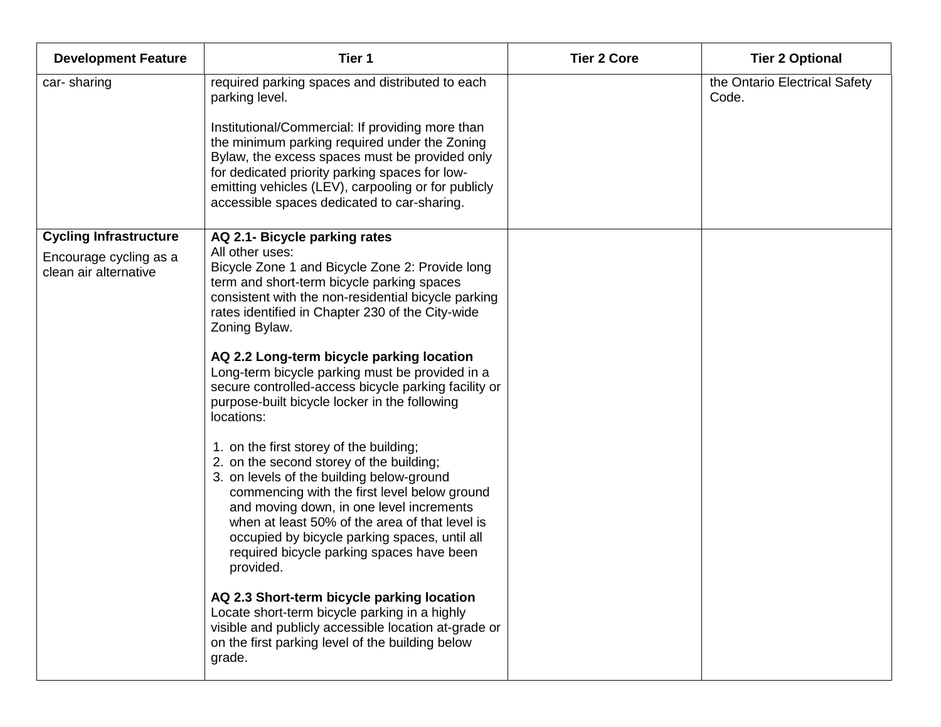| <b>Development Feature</b>                      | Tier 1                                                                                                                                                                                                                                                                                                                                                                                                                                                | <b>Tier 2 Core</b> | <b>Tier 2 Optional</b>                 |
|-------------------------------------------------|-------------------------------------------------------------------------------------------------------------------------------------------------------------------------------------------------------------------------------------------------------------------------------------------------------------------------------------------------------------------------------------------------------------------------------------------------------|--------------------|----------------------------------------|
| car-sharing                                     | required parking spaces and distributed to each<br>parking level.<br>Institutional/Commercial: If providing more than<br>the minimum parking required under the Zoning<br>Bylaw, the excess spaces must be provided only<br>for dedicated priority parking spaces for low-<br>emitting vehicles (LEV), carpooling or for publicly<br>accessible spaces dedicated to car-sharing.                                                                      |                    | the Ontario Electrical Safety<br>Code. |
| <b>Cycling Infrastructure</b>                   | AQ 2.1- Bicycle parking rates                                                                                                                                                                                                                                                                                                                                                                                                                         |                    |                                        |
| Encourage cycling as a<br>clean air alternative | All other uses:<br>Bicycle Zone 1 and Bicycle Zone 2: Provide long<br>term and short-term bicycle parking spaces<br>consistent with the non-residential bicycle parking<br>rates identified in Chapter 230 of the City-wide<br>Zoning Bylaw.<br>AQ 2.2 Long-term bicycle parking location<br>Long-term bicycle parking must be provided in a<br>secure controlled-access bicycle parking facility or<br>purpose-built bicycle locker in the following |                    |                                        |
|                                                 | locations:                                                                                                                                                                                                                                                                                                                                                                                                                                            |                    |                                        |
|                                                 | 1. on the first storey of the building;<br>2. on the second storey of the building;<br>3. on levels of the building below-ground<br>commencing with the first level below ground<br>and moving down, in one level increments<br>when at least 50% of the area of that level is<br>occupied by bicycle parking spaces, until all<br>required bicycle parking spaces have been<br>provided.                                                             |                    |                                        |
|                                                 | AQ 2.3 Short-term bicycle parking location<br>Locate short-term bicycle parking in a highly<br>visible and publicly accessible location at-grade or<br>on the first parking level of the building below<br>grade.                                                                                                                                                                                                                                     |                    |                                        |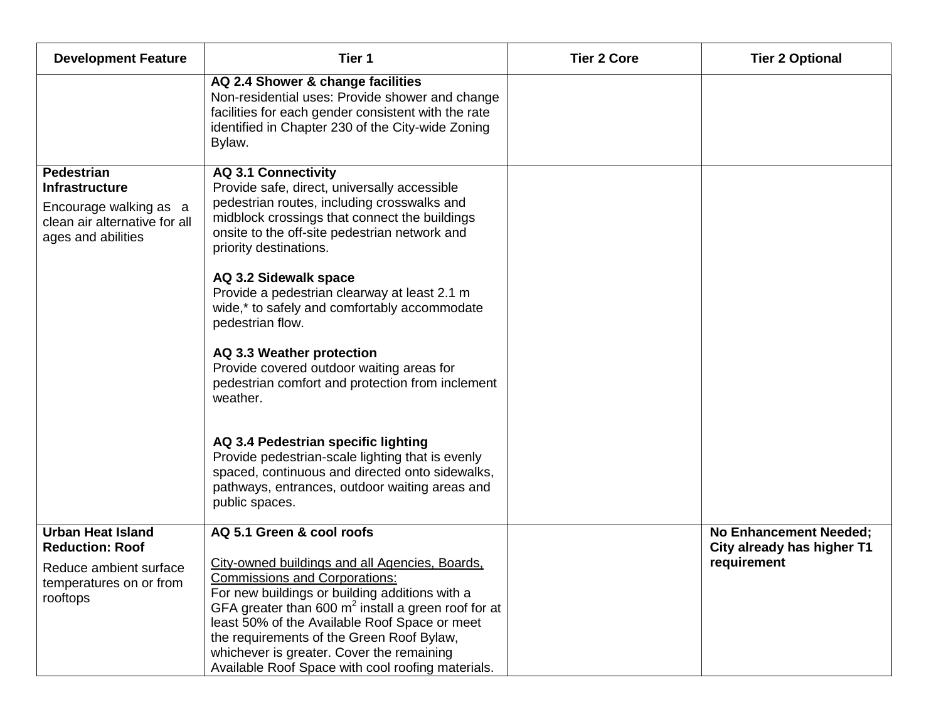| <b>Development Feature</b>                                                                                                  | Tier 1                                                                                                                                                                                                                                                                                                                                                                                            | <b>Tier 2 Core</b> | <b>Tier 2 Optional</b>                                      |
|-----------------------------------------------------------------------------------------------------------------------------|---------------------------------------------------------------------------------------------------------------------------------------------------------------------------------------------------------------------------------------------------------------------------------------------------------------------------------------------------------------------------------------------------|--------------------|-------------------------------------------------------------|
|                                                                                                                             | AQ 2.4 Shower & change facilities<br>Non-residential uses: Provide shower and change<br>facilities for each gender consistent with the rate<br>identified in Chapter 230 of the City-wide Zoning<br>Bylaw.                                                                                                                                                                                        |                    |                                                             |
| <b>Pedestrian</b><br><b>Infrastructure</b><br>Encourage walking as a<br>clean air alternative for all<br>ages and abilities | <b>AQ 3.1 Connectivity</b><br>Provide safe, direct, universally accessible<br>pedestrian routes, including crosswalks and<br>midblock crossings that connect the buildings<br>onsite to the off-site pedestrian network and<br>priority destinations.<br>AQ 3.2 Sidewalk space                                                                                                                    |                    |                                                             |
|                                                                                                                             | Provide a pedestrian clearway at least 2.1 m<br>wide,* to safely and comfortably accommodate<br>pedestrian flow.                                                                                                                                                                                                                                                                                  |                    |                                                             |
|                                                                                                                             | AQ 3.3 Weather protection<br>Provide covered outdoor waiting areas for<br>pedestrian comfort and protection from inclement<br>weather.                                                                                                                                                                                                                                                            |                    |                                                             |
|                                                                                                                             | AQ 3.4 Pedestrian specific lighting<br>Provide pedestrian-scale lighting that is evenly<br>spaced, continuous and directed onto sidewalks,<br>pathways, entrances, outdoor waiting areas and<br>public spaces.                                                                                                                                                                                    |                    |                                                             |
| <b>Urban Heat Island</b><br><b>Reduction: Roof</b>                                                                          | AQ 5.1 Green & cool roofs                                                                                                                                                                                                                                                                                                                                                                         |                    | <b>No Enhancement Needed;</b><br>City already has higher T1 |
| Reduce ambient surface<br>temperatures on or from<br>rooftops                                                               | City-owned buildings and all Agencies, Boards,<br><b>Commissions and Corporations:</b><br>For new buildings or building additions with a<br>GFA greater than 600 $m2$ install a green roof for at<br>least 50% of the Available Roof Space or meet<br>the requirements of the Green Roof Bylaw,<br>whichever is greater. Cover the remaining<br>Available Roof Space with cool roofing materials. |                    | requirement                                                 |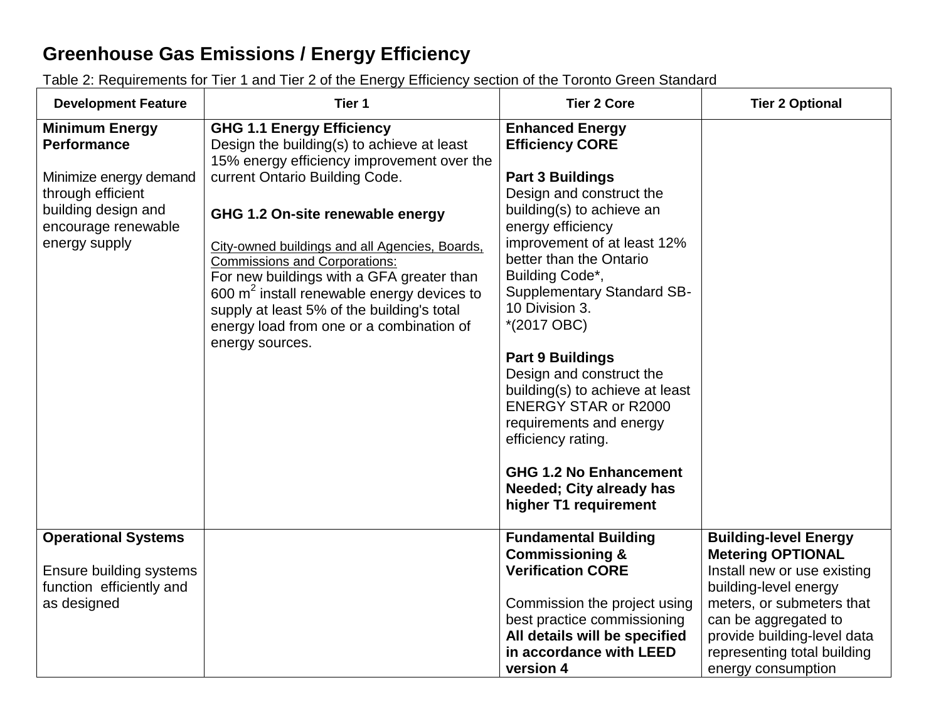## **Greenhouse Gas Emissions / Energy Efficiency**

Table 2: Requirements for Tier 1 and Tier 2 of the Energy Efficiency section of the Toronto Green Standard

| <b>Development Feature</b>                                                                                                                                | Tier 1                                                                                                                                                                                                                                                                                                                                                                                                                                                                                                 | <b>Tier 2 Core</b>                                                                                                                                                                                                                                                                                                                                                                                                                                                                                                                                                                            | <b>Tier 2 Optional</b>                                                                                                                                                                                                                                    |
|-----------------------------------------------------------------------------------------------------------------------------------------------------------|--------------------------------------------------------------------------------------------------------------------------------------------------------------------------------------------------------------------------------------------------------------------------------------------------------------------------------------------------------------------------------------------------------------------------------------------------------------------------------------------------------|-----------------------------------------------------------------------------------------------------------------------------------------------------------------------------------------------------------------------------------------------------------------------------------------------------------------------------------------------------------------------------------------------------------------------------------------------------------------------------------------------------------------------------------------------------------------------------------------------|-----------------------------------------------------------------------------------------------------------------------------------------------------------------------------------------------------------------------------------------------------------|
| <b>Minimum Energy</b><br><b>Performance</b><br>Minimize energy demand<br>through efficient<br>building design and<br>encourage renewable<br>energy supply | <b>GHG 1.1 Energy Efficiency</b><br>Design the building(s) to achieve at least<br>15% energy efficiency improvement over the<br>current Ontario Building Code.<br>GHG 1.2 On-site renewable energy<br>City-owned buildings and all Agencies, Boards,<br><b>Commissions and Corporations:</b><br>For new buildings with a GFA greater than<br>600 $m2$ install renewable energy devices to<br>supply at least 5% of the building's total<br>energy load from one or a combination of<br>energy sources. | <b>Enhanced Energy</b><br><b>Efficiency CORE</b><br><b>Part 3 Buildings</b><br>Design and construct the<br>building(s) to achieve an<br>energy efficiency<br>improvement of at least 12%<br>better than the Ontario<br>Building Code*,<br><b>Supplementary Standard SB-</b><br>10 Division 3.<br>$*(2017 \text{ OBC})$<br><b>Part 9 Buildings</b><br>Design and construct the<br>building(s) to achieve at least<br><b>ENERGY STAR or R2000</b><br>requirements and energy<br>efficiency rating.<br><b>GHG 1.2 No Enhancement</b><br><b>Needed; City already has</b><br>higher T1 requirement |                                                                                                                                                                                                                                                           |
| <b>Operational Systems</b><br>Ensure building systems<br>function efficiently and<br>as designed                                                          |                                                                                                                                                                                                                                                                                                                                                                                                                                                                                                        | <b>Fundamental Building</b><br><b>Commissioning &amp;</b><br><b>Verification CORE</b><br>Commission the project using<br>best practice commissioning<br>All details will be specified<br>in accordance with LEED<br>version 4                                                                                                                                                                                                                                                                                                                                                                 | <b>Building-level Energy</b><br><b>Metering OPTIONAL</b><br>Install new or use existing<br>building-level energy<br>meters, or submeters that<br>can be aggregated to<br>provide building-level data<br>representing total building<br>energy consumption |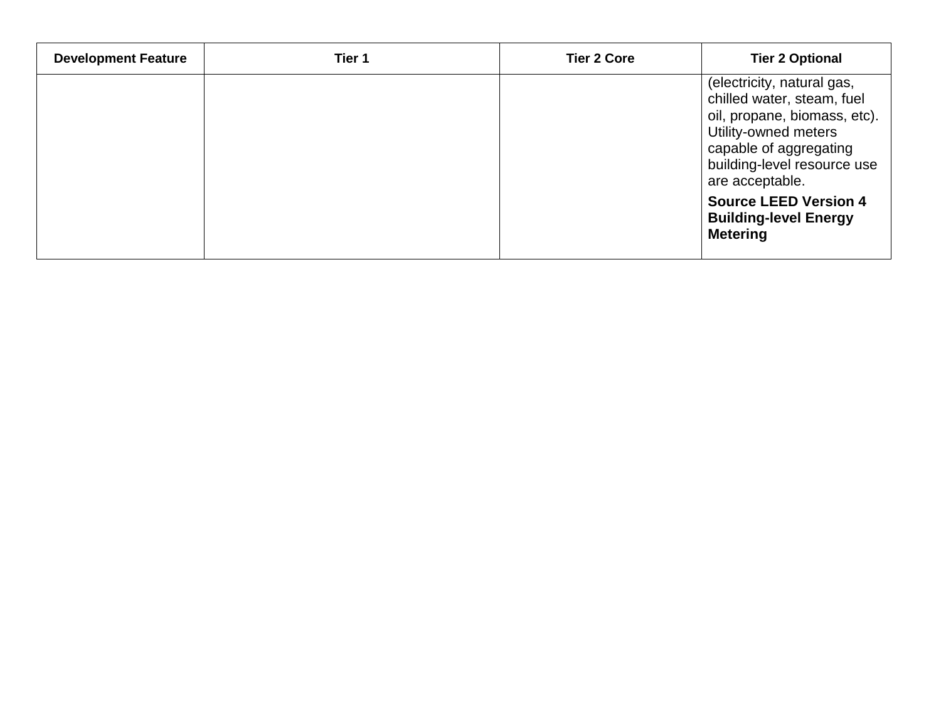| <b>Development Feature</b> | Tier 1 | <b>Tier 2 Core</b> | <b>Tier 2 Optional</b>                                                                                                                                                                       |
|----------------------------|--------|--------------------|----------------------------------------------------------------------------------------------------------------------------------------------------------------------------------------------|
|                            |        |                    | (electricity, natural gas,<br>chilled water, steam, fuel<br>oil, propane, biomass, etc).<br>Utility-owned meters<br>capable of aggregating<br>building-level resource use<br>are acceptable. |
|                            |        |                    | <b>Source LEED Version 4</b><br><b>Building-level Energy</b><br><b>Metering</b>                                                                                                              |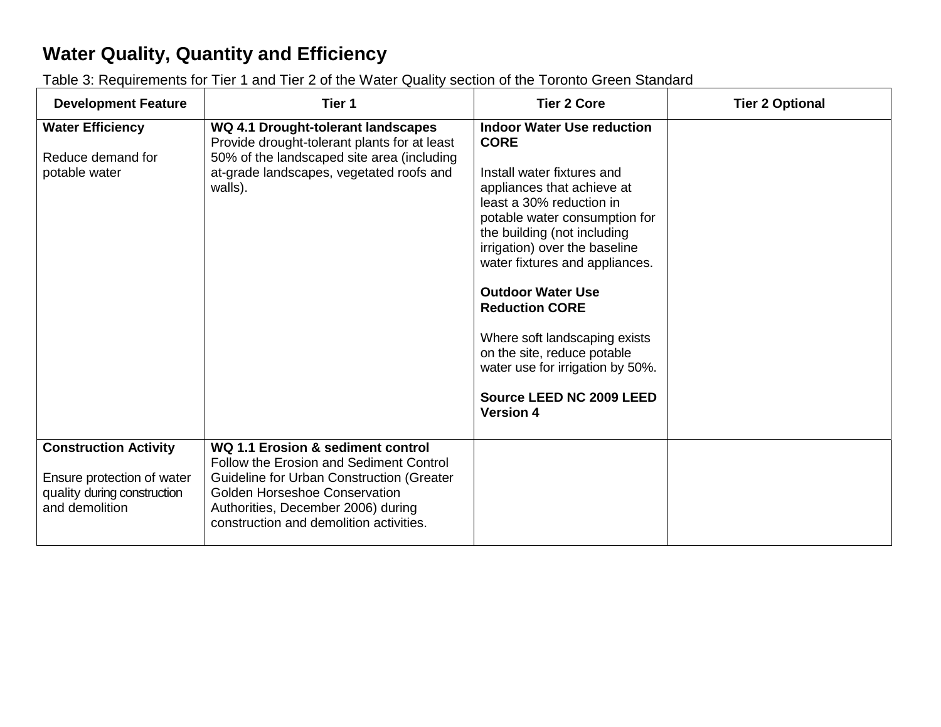## **Water Quality, Quantity and Efficiency**

Table 3: Requirements for Tier 1 and Tier 2 of the Water Quality section of the Toronto Green Standard

| <b>Development Feature</b>                                                                                  | Tier 1                                                                                                                                                                                                                                             | <b>Tier 2 Core</b>                                                                                                                                                                                                                                                                                                                                                                                                                                                                   | <b>Tier 2 Optional</b> |
|-------------------------------------------------------------------------------------------------------------|----------------------------------------------------------------------------------------------------------------------------------------------------------------------------------------------------------------------------------------------------|--------------------------------------------------------------------------------------------------------------------------------------------------------------------------------------------------------------------------------------------------------------------------------------------------------------------------------------------------------------------------------------------------------------------------------------------------------------------------------------|------------------------|
| <b>Water Efficiency</b><br>Reduce demand for<br>potable water                                               | WQ 4.1 Drought-tolerant landscapes<br>Provide drought-tolerant plants for at least<br>50% of the landscaped site area (including<br>at-grade landscapes, vegetated roofs and<br>walls).                                                            | <b>Indoor Water Use reduction</b><br><b>CORE</b><br>Install water fixtures and<br>appliances that achieve at<br>least a 30% reduction in<br>potable water consumption for<br>the building (not including<br>irrigation) over the baseline<br>water fixtures and appliances.<br><b>Outdoor Water Use</b><br><b>Reduction CORE</b><br>Where soft landscaping exists<br>on the site, reduce potable<br>water use for irrigation by 50%.<br>Source LEED NC 2009 LEED<br><b>Version 4</b> |                        |
| <b>Construction Activity</b><br>Ensure protection of water<br>quality during construction<br>and demolition | WQ 1.1 Erosion & sediment control<br>Follow the Erosion and Sediment Control<br>Guideline for Urban Construction (Greater<br><b>Golden Horseshoe Conservation</b><br>Authorities, December 2006) during<br>construction and demolition activities. |                                                                                                                                                                                                                                                                                                                                                                                                                                                                                      |                        |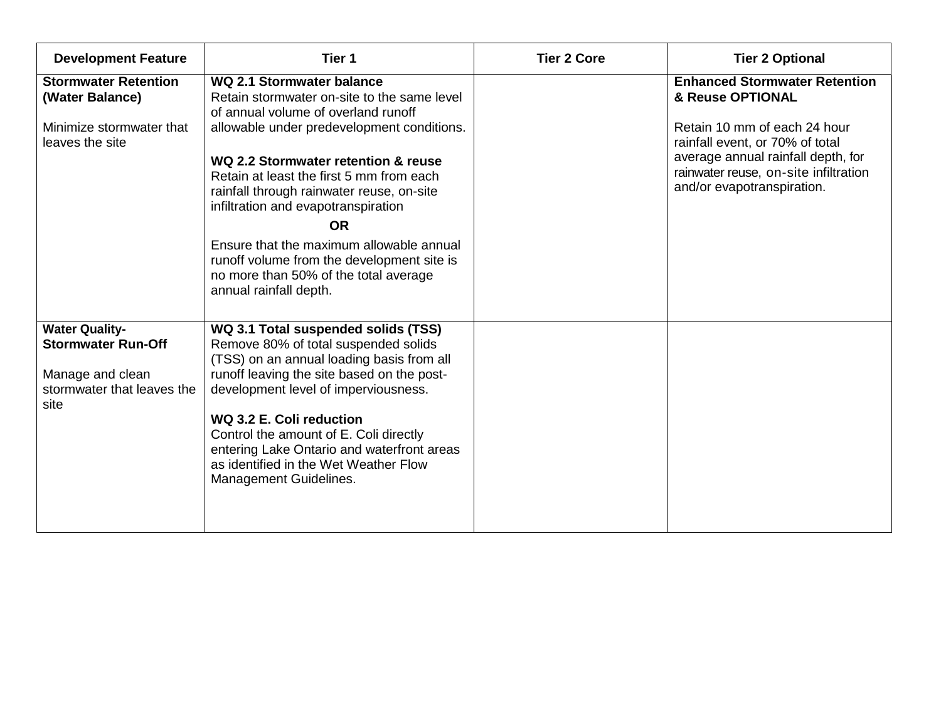| <b>Development Feature</b>                                                                                   | Tier 1                                                                                                                                                                                                                                                                                                                                                                                                                                                                                                         | <b>Tier 2 Core</b> | <b>Tier 2 Optional</b>                                                                                                                                                                                                                   |
|--------------------------------------------------------------------------------------------------------------|----------------------------------------------------------------------------------------------------------------------------------------------------------------------------------------------------------------------------------------------------------------------------------------------------------------------------------------------------------------------------------------------------------------------------------------------------------------------------------------------------------------|--------------------|------------------------------------------------------------------------------------------------------------------------------------------------------------------------------------------------------------------------------------------|
| <b>Stormwater Retention</b><br>(Water Balance)<br>Minimize stormwater that<br>leaves the site                | WQ 2.1 Stormwater balance<br>Retain stormwater on-site to the same level<br>of annual volume of overland runoff<br>allowable under predevelopment conditions.<br>WQ 2.2 Stormwater retention & reuse<br>Retain at least the first 5 mm from each<br>rainfall through rainwater reuse, on-site<br>infiltration and evapotranspiration<br><b>OR</b><br>Ensure that the maximum allowable annual<br>runoff volume from the development site is<br>no more than 50% of the total average<br>annual rainfall depth. |                    | <b>Enhanced Stormwater Retention</b><br>& Reuse OPTIONAL<br>Retain 10 mm of each 24 hour<br>rainfall event, or 70% of total<br>average annual rainfall depth, for<br>rainwater reuse, on-site infiltration<br>and/or evapotranspiration. |
| <b>Water Quality-</b><br><b>Stormwater Run-Off</b><br>Manage and clean<br>stormwater that leaves the<br>site | WQ 3.1 Total suspended solids (TSS)<br>Remove 80% of total suspended solids<br>(TSS) on an annual loading basis from all<br>runoff leaving the site based on the post-<br>development level of imperviousness.<br>WQ 3.2 E. Coli reduction<br>Control the amount of E. Coli directly<br>entering Lake Ontario and waterfront areas<br>as identified in the Wet Weather Flow<br>Management Guidelines.                                                                                                          |                    |                                                                                                                                                                                                                                          |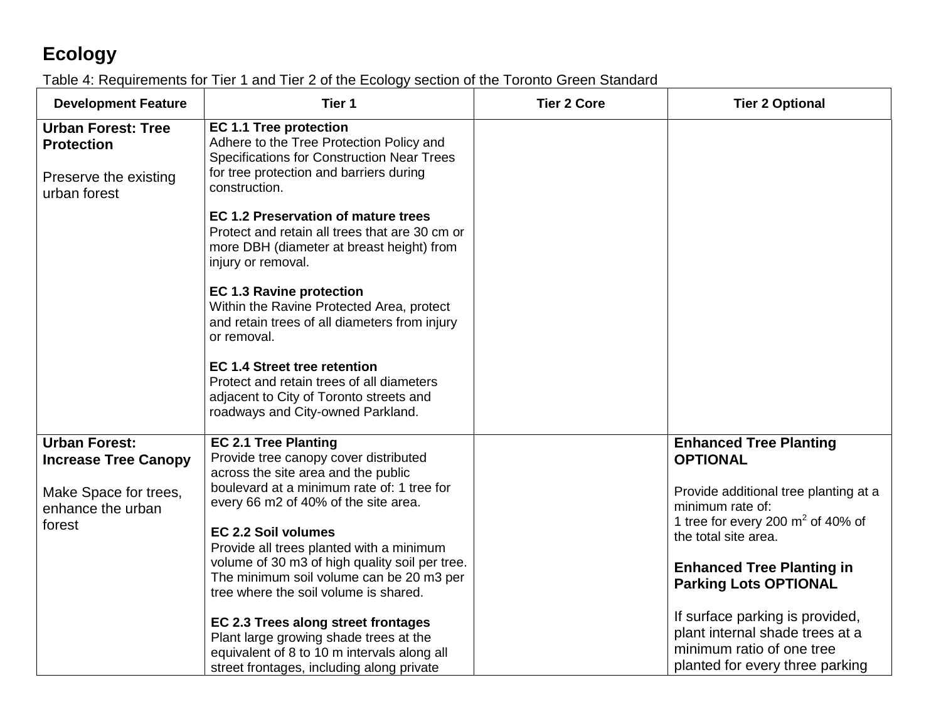# **Ecology**

#### Table 4: Requirements for Tier 1 and Tier 2 of the Ecology section of the Toronto Green Standard

| <b>Development Feature</b>                          | Tier 1                                                                                                                                                                    | <b>Tier 2 Core</b> | <b>Tier 2 Optional</b>                                                                                                             |
|-----------------------------------------------------|---------------------------------------------------------------------------------------------------------------------------------------------------------------------------|--------------------|------------------------------------------------------------------------------------------------------------------------------------|
| <b>Urban Forest: Tree</b><br><b>Protection</b>      | <b>EC 1.1 Tree protection</b><br>Adhere to the Tree Protection Policy and<br>Specifications for Construction Near Trees                                                   |                    |                                                                                                                                    |
| Preserve the existing<br>urban forest               | for tree protection and barriers during<br>construction.                                                                                                                  |                    |                                                                                                                                    |
|                                                     | <b>EC 1.2 Preservation of mature trees</b><br>Protect and retain all trees that are 30 cm or<br>more DBH (diameter at breast height) from<br>injury or removal.           |                    |                                                                                                                                    |
|                                                     | <b>EC 1.3 Ravine protection</b><br>Within the Ravine Protected Area, protect<br>and retain trees of all diameters from injury<br>or removal.                              |                    |                                                                                                                                    |
|                                                     | <b>EC 1.4 Street tree retention</b><br>Protect and retain trees of all diameters<br>adjacent to City of Toronto streets and<br>roadways and City-owned Parkland.          |                    |                                                                                                                                    |
| <b>Urban Forest:</b><br><b>Increase Tree Canopy</b> | <b>EC 2.1 Tree Planting</b><br>Provide tree canopy cover distributed<br>across the site area and the public                                                               |                    | <b>Enhanced Tree Planting</b><br><b>OPTIONAL</b>                                                                                   |
| Make Space for trees,<br>enhance the urban          | boulevard at a minimum rate of: 1 tree for<br>every 66 m2 of 40% of the site area.                                                                                        |                    | Provide additional tree planting at a<br>minimum rate of:                                                                          |
| forest                                              | <b>EC 2.2 Soil volumes</b><br>Provide all trees planted with a minimum                                                                                                    |                    | 1 tree for every 200 $m2$ of 40% of<br>the total site area.                                                                        |
|                                                     | volume of 30 m3 of high quality soil per tree.<br>The minimum soil volume can be 20 m3 per<br>tree where the soil volume is shared.                                       |                    | <b>Enhanced Tree Planting in</b><br><b>Parking Lots OPTIONAL</b>                                                                   |
|                                                     | EC 2.3 Trees along street frontages<br>Plant large growing shade trees at the<br>equivalent of 8 to 10 m intervals along all<br>street frontages, including along private |                    | If surface parking is provided,<br>plant internal shade trees at a<br>minimum ratio of one tree<br>planted for every three parking |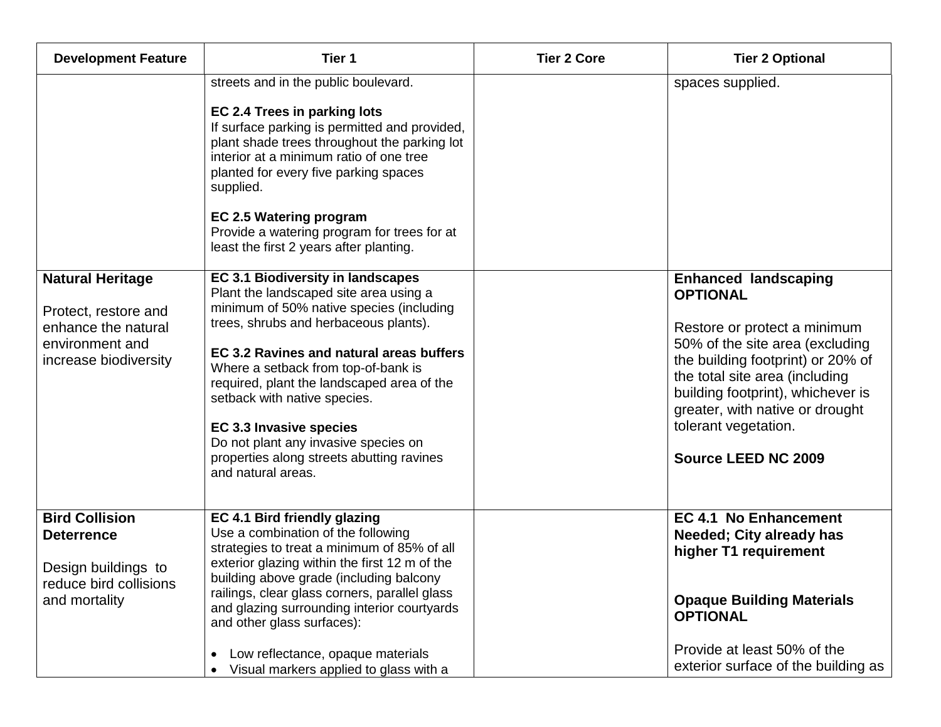| <b>Development Feature</b>                                                                                         | Tier 1                                                                                                                                                                                                                                                                                                                                                                                                                                                                  | <b>Tier 2 Core</b> | <b>Tier 2 Optional</b>                                                                                                                                                                                                                                                                                                 |
|--------------------------------------------------------------------------------------------------------------------|-------------------------------------------------------------------------------------------------------------------------------------------------------------------------------------------------------------------------------------------------------------------------------------------------------------------------------------------------------------------------------------------------------------------------------------------------------------------------|--------------------|------------------------------------------------------------------------------------------------------------------------------------------------------------------------------------------------------------------------------------------------------------------------------------------------------------------------|
|                                                                                                                    | streets and in the public boulevard.<br>EC 2.4 Trees in parking lots<br>If surface parking is permitted and provided,<br>plant shade trees throughout the parking lot<br>interior at a minimum ratio of one tree<br>planted for every five parking spaces<br>supplied.<br><b>EC 2.5 Watering program</b><br>Provide a watering program for trees for at<br>least the first 2 years after planting.                                                                      |                    | spaces supplied.                                                                                                                                                                                                                                                                                                       |
| <b>Natural Heritage</b><br>Protect, restore and<br>enhance the natural<br>environment and<br>increase biodiversity | EC 3.1 Biodiversity in landscapes<br>Plant the landscaped site area using a<br>minimum of 50% native species (including<br>trees, shrubs and herbaceous plants).<br>EC 3.2 Ravines and natural areas buffers<br>Where a setback from top-of-bank is<br>required, plant the landscaped area of the<br>setback with native species.<br>EC 3.3 Invasive species<br>Do not plant any invasive species on<br>properties along streets abutting ravines<br>and natural areas. |                    | <b>Enhanced landscaping</b><br><b>OPTIONAL</b><br>Restore or protect a minimum<br>50% of the site area (excluding<br>the building footprint) or 20% of<br>the total site area (including<br>building footprint), whichever is<br>greater, with native or drought<br>tolerant vegetation.<br><b>Source LEED NC 2009</b> |
| <b>Bird Collision</b><br><b>Deterrence</b><br>Design buildings to<br>reduce bird collisions<br>and mortality       | EC 4.1 Bird friendly glazing<br>Use a combination of the following<br>strategies to treat a minimum of 85% of all<br>exterior glazing within the first 12 m of the<br>building above grade (including balcony<br>railings, clear glass corners, parallel glass<br>and glazing surrounding interior courtyards<br>and other glass surfaces):                                                                                                                             |                    | <b>EC 4.1 No Enhancement</b><br><b>Needed; City already has</b><br>higher T1 requirement<br><b>Opaque Building Materials</b><br><b>OPTIONAL</b>                                                                                                                                                                        |
|                                                                                                                    | Low reflectance, opaque materials<br>$\bullet$<br>Visual markers applied to glass with a                                                                                                                                                                                                                                                                                                                                                                                |                    | Provide at least 50% of the<br>exterior surface of the building as                                                                                                                                                                                                                                                     |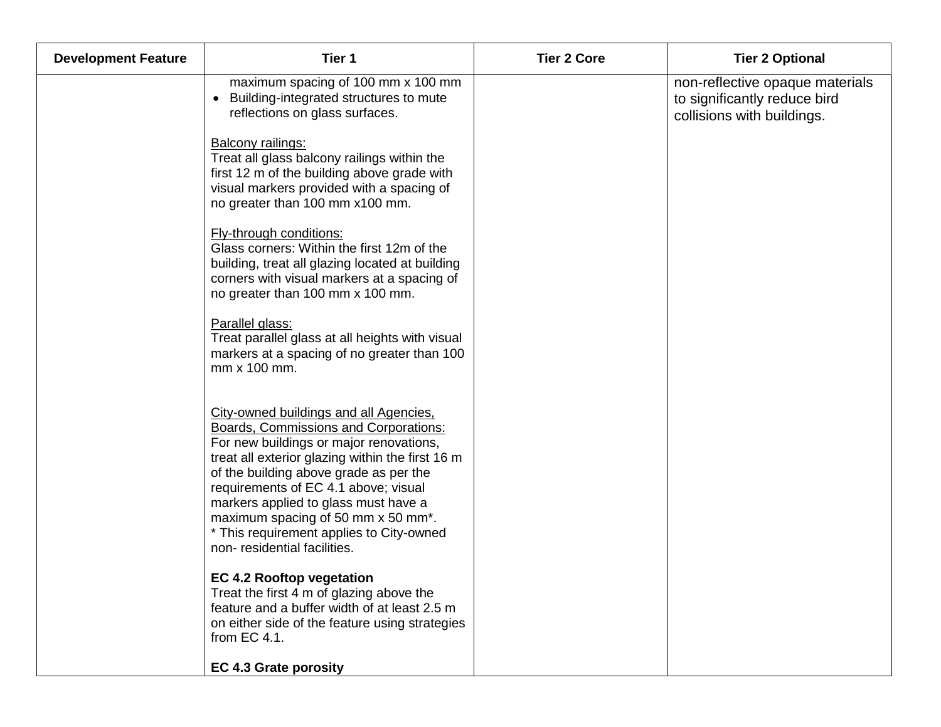| <b>Development Feature</b> | Tier 1                                                                                                                                                                                                                                                                                                                                                                                                                           | <b>Tier 2 Core</b> | <b>Tier 2 Optional</b>                                                                        |
|----------------------------|----------------------------------------------------------------------------------------------------------------------------------------------------------------------------------------------------------------------------------------------------------------------------------------------------------------------------------------------------------------------------------------------------------------------------------|--------------------|-----------------------------------------------------------------------------------------------|
|                            | maximum spacing of 100 mm x 100 mm<br>Building-integrated structures to mute<br>$\bullet$<br>reflections on glass surfaces.                                                                                                                                                                                                                                                                                                      |                    | non-reflective opaque materials<br>to significantly reduce bird<br>collisions with buildings. |
|                            | Balcony railings:<br>Treat all glass balcony railings within the<br>first 12 m of the building above grade with<br>visual markers provided with a spacing of<br>no greater than 100 mm x100 mm.                                                                                                                                                                                                                                  |                    |                                                                                               |
|                            | Fly-through conditions:<br>Glass corners: Within the first 12m of the<br>building, treat all glazing located at building<br>corners with visual markers at a spacing of<br>no greater than 100 mm x 100 mm.                                                                                                                                                                                                                      |                    |                                                                                               |
|                            | Parallel glass:<br>Treat parallel glass at all heights with visual<br>markers at a spacing of no greater than 100<br>mm x 100 mm.                                                                                                                                                                                                                                                                                                |                    |                                                                                               |
|                            | City-owned buildings and all Agencies,<br><b>Boards, Commissions and Corporations:</b><br>For new buildings or major renovations,<br>treat all exterior glazing within the first 16 m<br>of the building above grade as per the<br>requirements of EC 4.1 above; visual<br>markers applied to glass must have a<br>maximum spacing of 50 mm x 50 mm*.<br>* This requirement applies to City-owned<br>non-residential facilities. |                    |                                                                                               |
|                            | <b>EC 4.2 Rooftop vegetation</b><br>Treat the first 4 m of glazing above the<br>feature and a buffer width of at least 2.5 m<br>on either side of the feature using strategies<br>from EC 4.1.                                                                                                                                                                                                                                   |                    |                                                                                               |
|                            | <b>EC 4.3 Grate porosity</b>                                                                                                                                                                                                                                                                                                                                                                                                     |                    |                                                                                               |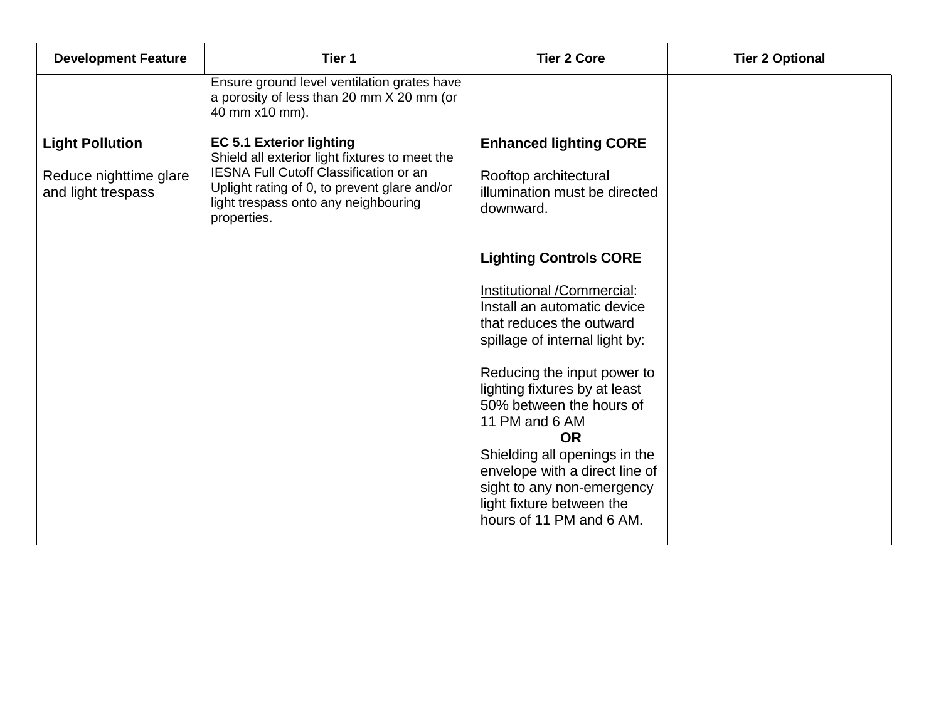| <b>Development Feature</b>                                             | Tier 1                                                                                                                                                                                                                             | <b>Tier 2 Core</b>                                                                                                                                                                                                                                                                                                                                                                                                                            | <b>Tier 2 Optional</b> |
|------------------------------------------------------------------------|------------------------------------------------------------------------------------------------------------------------------------------------------------------------------------------------------------------------------------|-----------------------------------------------------------------------------------------------------------------------------------------------------------------------------------------------------------------------------------------------------------------------------------------------------------------------------------------------------------------------------------------------------------------------------------------------|------------------------|
|                                                                        | Ensure ground level ventilation grates have<br>a porosity of less than 20 mm X 20 mm (or<br>40 mm x10 mm).                                                                                                                         |                                                                                                                                                                                                                                                                                                                                                                                                                                               |                        |
| <b>Light Pollution</b><br>Reduce nighttime glare<br>and light trespass | <b>EC 5.1 Exterior lighting</b><br>Shield all exterior light fixtures to meet the<br>IESNA Full Cutoff Classification or an<br>Uplight rating of 0, to prevent glare and/or<br>light trespass onto any neighbouring<br>properties. | <b>Enhanced lighting CORE</b><br>Rooftop architectural<br>illumination must be directed<br>downward.                                                                                                                                                                                                                                                                                                                                          |                        |
|                                                                        |                                                                                                                                                                                                                                    | <b>Lighting Controls CORE</b><br>Institutional /Commercial:<br>Install an automatic device<br>that reduces the outward<br>spillage of internal light by:<br>Reducing the input power to<br>lighting fixtures by at least<br>50% between the hours of<br>11 PM and 6 AM<br><b>OR</b><br>Shielding all openings in the<br>envelope with a direct line of<br>sight to any non-emergency<br>light fixture between the<br>hours of 11 PM and 6 AM. |                        |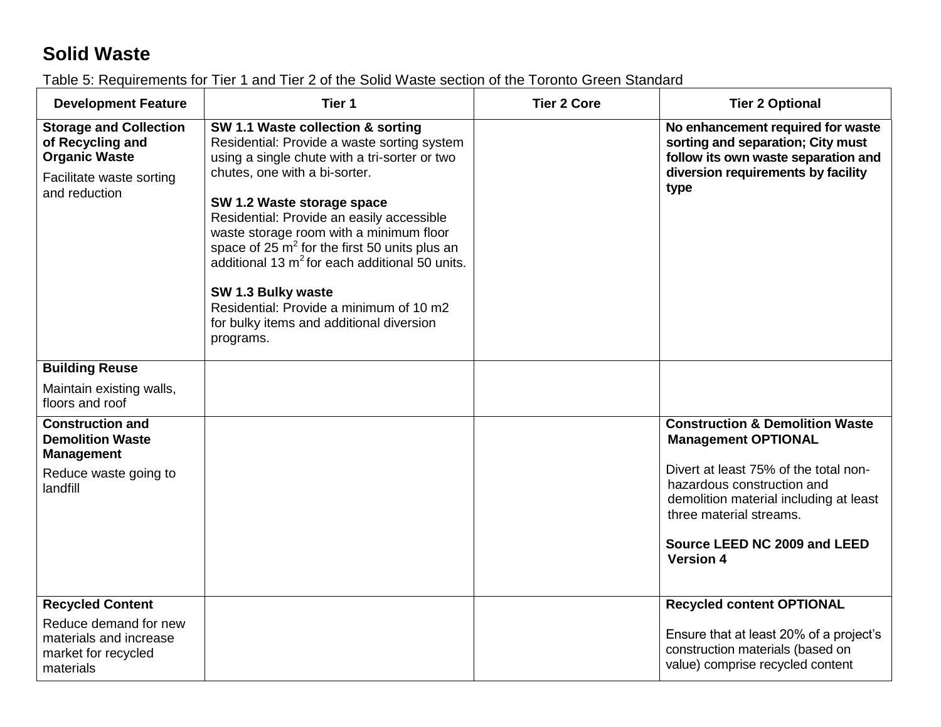## **Solid Waste**

Table 5: Requirements for Tier 1 and Tier 2 of the Solid Waste section of the Toronto Green Standard

| <b>Development Feature</b>                                                                                             | Tier 1                                                                                                                                                                                                                                                                                                                                                                                                                                                                                                                      | <b>Tier 2 Core</b> | <b>Tier 2 Optional</b>                                                                                                                                                                                                                                                   |
|------------------------------------------------------------------------------------------------------------------------|-----------------------------------------------------------------------------------------------------------------------------------------------------------------------------------------------------------------------------------------------------------------------------------------------------------------------------------------------------------------------------------------------------------------------------------------------------------------------------------------------------------------------------|--------------------|--------------------------------------------------------------------------------------------------------------------------------------------------------------------------------------------------------------------------------------------------------------------------|
| <b>Storage and Collection</b><br>of Recycling and<br><b>Organic Waste</b><br>Facilitate waste sorting<br>and reduction | SW 1.1 Waste collection & sorting<br>Residential: Provide a waste sorting system<br>using a single chute with a tri-sorter or two<br>chutes, one with a bi-sorter.<br>SW 1.2 Waste storage space<br>Residential: Provide an easily accessible<br>waste storage room with a minimum floor<br>space of 25 $m^2$ for the first 50 units plus an<br>additional 13 $m^2$ for each additional 50 units.<br>SW 1.3 Bulky waste<br>Residential: Provide a minimum of 10 m2<br>for bulky items and additional diversion<br>programs. |                    | No enhancement required for waste<br>sorting and separation; City must<br>follow its own waste separation and<br>diversion requirements by facility<br>type                                                                                                              |
| <b>Building Reuse</b>                                                                                                  |                                                                                                                                                                                                                                                                                                                                                                                                                                                                                                                             |                    |                                                                                                                                                                                                                                                                          |
| Maintain existing walls,<br>floors and roof                                                                            |                                                                                                                                                                                                                                                                                                                                                                                                                                                                                                                             |                    |                                                                                                                                                                                                                                                                          |
| <b>Construction and</b><br><b>Demolition Waste</b><br><b>Management</b><br>Reduce waste going to<br>landfill           |                                                                                                                                                                                                                                                                                                                                                                                                                                                                                                                             |                    | <b>Construction &amp; Demolition Waste</b><br><b>Management OPTIONAL</b><br>Divert at least 75% of the total non-<br>hazardous construction and<br>demolition material including at least<br>three material streams.<br>Source LEED NC 2009 and LEED<br><b>Version 4</b> |
| <b>Recycled Content</b><br>Reduce demand for new<br>materials and increase<br>market for recycled<br>materials         |                                                                                                                                                                                                                                                                                                                                                                                                                                                                                                                             |                    | <b>Recycled content OPTIONAL</b><br>Ensure that at least 20% of a project's<br>construction materials (based on<br>value) comprise recycled content                                                                                                                      |